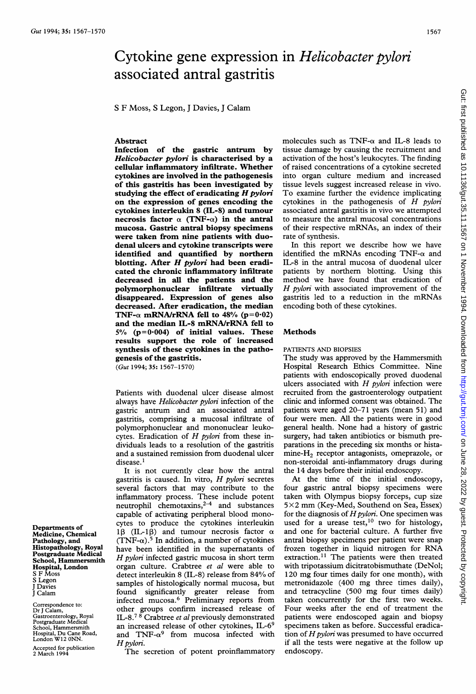# Cytokine gene expression in Helicobacter pylori associated antral gastritis

S F Moss, S Legon, <sup>J</sup> Davies, <sup>J</sup> Calam

# Abstract

Infection of the gastric antrum by Helicobacter pylori is characterised by a cellular inflammatory infiltrate. Whether cytokines are involved in the pathogenesis of this gastritis has been investigated by studying the effect of eradicating  $H$  pylori on the expression of genes encoding the cytokines interleukin 8 (IL-8) and tumour necrosis factor  $\alpha$  (TNF- $\alpha$ ) in the antral mucosa. Gastric antral biopsy specimens were taken from nine patients with duodenal ulcers and cytokine transcripts were identified and quantified by northern blotting. After  $H$  pylori had been eradicated the chronic inflammatory infiltrate decreased in all the patients and the polymorphonuclear infiltrate virtually disappeared. Expression of genes also decreased. After eradication, the median TNF- $\alpha$  mRNA/rRNA fell to 48% (p=0.02) and the median IL-8 mRNA/rRNA fell to  $5\%$  (p=0.004) of initial values. These results support the role of increased synthesis of these cytokines in the pathogenesis of the gastritis.

(Gut 1994; 35: 1567-1570)

Patients with duodenal ulcer disease almost always have Helicobacter pylori infection of the gastric antrum and an associated antral gastritis, comprising a mucosal infiltrate of polymorphonuclear and mononuclear leukocytes. Eradication of  $H$  pylori from these individuals leads to a resolution of the gastritis and a sustained remission from duodenal ulcer disease.<sup>1</sup>

It is not currently clear how the antral gastritis is caused. In vitro,  $H$  pylori secretes several factors that may contribute to the inflammatory process. These include potent neutrophil chemotaxins, $2-4$  and substances capable of activating peripheral blood monocytes to produce the cytokines interleukin 1 $\beta$  (IL-1 $\beta$ ) and tumour necrosis factor  $\alpha$ (TNF- $\alpha$ ).<sup>5</sup> In addition, a number of cytokines have been identified in the supernatants of H pylori infected gastric mucosa in short term organ culture. Crabtree et al were able to detect interleukin <sup>8</sup> (IL-8) release from 84% of samples of histologically normal mucosa, but found significantly greater release from infected mucosa.6 Preliminary reports from other groups confirm increased release of IL-8.<sup>78</sup> Crabtree et al previously demonstrated an increased release of other cytokines, IL-69 and  $TNF-\alpha^9$  from mucosa infected with H pylori.

The secretion of potent proinflammatory

molecules such as TNF- $\alpha$  and IL-8 leads to tissue damage by causing the recruitment and activation of the host's leukocytes. The finding of raised concentrations of a cytokine secreted into organ culture medium and increased tissue levels suggest increased release in vivo. To examine further the evidence implicating cytokines in the pathogenesis of  $H$  pylori associated antral gastritis in vivo we attempted to measure the antral mucosal concentrations of their respective mRNAs, an index of their rate of synthesis.

In this report we describe how we have identified the mRNAs encoding TNF- $\alpha$  and IL-8 in the antral mucosa of duodenal ulcer patients by northern blotting. Using this method we have found that eradication of H pylori with associated improvement of the gastritis led to <sup>a</sup> reduction in the mRNAs encoding both of these cytokines.

## Methods

PATIENTS AND BIOPSIES

The study was approved by the Hammersmith Hospital Research Ethics Committee. Nine patients with endoscopically proved duodenal ulcers associated with  $H$  pylori infection were recruited from the gastroenterology outpatient clinic and informed consent was obtained. The patients were aged 20-71 years (mean 51) and four were men. All the patients were in good general health. None had a history of gastric surgery, had taken antibiotics or bismuth preparations in the preceding six months or histamine- $H<sub>2</sub>$  receptor antagonists, omeprazole, or non-steroidal anti-inflammatory drugs during the 14 days before their initial endoscopy.

At the time of the initial endoscopy, four gastric antral biopsy specimens were taken with Olympus biopsy forceps, cup size  $5 \times 2$  mm (Key-Med, Southend on Sea, Essex) for the diagnosis of  $H$  pylori. One specimen was used for a urease test,<sup>10</sup> two for histology, and one for bacterial culture. A further five antral biopsy specimens per patient were snap frozen together in liquid nitrogen for RNA extraction.<sup>11</sup> The patients were then treated with tripotassium dicitratobismuthate (DeNol; 120 mg four times daily for one month), with metronidazole (400 mg three times daily), and tetracycline (500 mg four times daily) taken concurrently for the first two weeks. Four weeks after the end of treatment the patients were endoscoped again and biopsy specimens taken as before. Successful eradication of  $H$  pylori was presumed to have occurred if all the tests were negative at the follow up endoscopy.

Departments of Medicine, Chemical Pathology, and Histopathology, Royal Postgraduate Medical School, Hammersmith Hospital, London S F Moss S Legon J Davies J Calam

Correspondence to: Dr <sup>J</sup> Calam, Gastroenterology, Royal Postgraduate Medical School, Hammersmith Hospital, Du Cane Road, London W12 ONN.

Accepted for publication 2 March 1994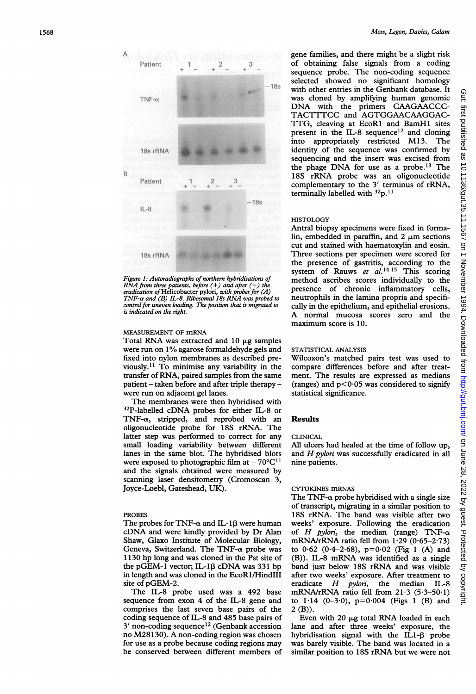

Figure 1: Autoradiographs of northern hybridisations of  $\overline{RNA}$  from three patients, before  $(+)$  and after  $(-)$  the eradication of Helicobacter pylori, with probes for  $(A)$ <br>TNF- $\alpha$  and (B) IL-8. Ribosomal 18s RNA was probed to control for uneven loading. The position that it migrated to is indicated on the right.

# MEASUREMENT OF mRNA

Total RNA was extracted and 10  $\mu$ g samples were run on 1% agarose formaldehyde gels and fixed into nylon membranes as described previously.<sup>11</sup> To minimise any variability in the transfer of RNA, paired samples from the same patient - taken before and after triple therapy were run on adjacent gel lanes.

The membranes were then hybridised with 32P-labelled cDNA probes for either IL-8 or TNF- $\alpha$ , stripped, and reprobed with an oligonucleotide probe for 18S rRNA. The latter step was performed to correct for any small loading variability between different lanes in the same blot. The hybridised blots were exposed to photographic film at  $-70^{\circ} \text{C}^{11}$ and the signals obtained were measured by scanning laser densitometry (Cromoscan 3, Joyce-Loebl, Gateshead, UK).

## PROBES

The probes for TNF- $\alpha$  and IL-18 were human cDNA and were kindly provided by Dr Alan Shaw, Glaxo Institute of Molecular Biology, Geneva, Switzerland. The TNF- $\alpha$  probe was <sup>1</sup> 130 hp long and was cloned in the Pst site of the pGEM-1 vector; IL-1 $\beta$  cDNA was 331 bp in length and was cloned in the EcoRl/HindIII site of pGEM-2.

The IL-8 probe used was a 492 base sequence from exon 4 of the IL-8 gene and comprises the last seven base pairs of the coding sequence of IL-8 and 485 base pairs of <sup>3</sup>' non-coding sequence'2 (Genbank accession no M28130). A non-coding region was chosen for use as a probe because coding regions may be conserved between different members of

gene families, and there might be a slight risk of obtaining false signals from a coding sequence probe. The non-coding sequence selected showed no significant homology with other entries in the Genbank database. It was cloned by amplifying human genomic DNA with the primers CAAGAACCC-TACTTTCC and AGTGGAACAAGGAC-TTG, cleaving at EcoRl and BamHl sites present in the IL-8 sequence<sup>12</sup> and cloning into appropriately restricted M13. The identity of the sequence was confirmed by sequencing and the insert was excised from the phage DNA for use as a probe.<sup>13</sup> The 18S rRNA probe was an oligonucleotide complementary to the <sup>3</sup>' terminus of rRNA, terminally labelled with  $\rm ^{32}p.^{11}$ 

#### **HISTOLOGY**

Antral biopsy specimens were fixed in formalin, embedded in paraffin, and  $2 \mu m$  sections cut and stained with haematoxylin and eosin. Three sections per specimen were scored for the presence of gastritis, according to the system of Rauws et  $al.^{14}$ <sup>15</sup> This scoring method ascribes scores individually to the presence of chronic inflammatory cells, neutrophils in the lamina propria and specifically in the epithelium, and epithelial erosions. <sup>A</sup> normal mucosa scores zero and the maximum score is 10.

# STATISTICAL ANALYSIS

Wilcoxon's matched pairs test was used to compare differences before and after treatment. The results are expressed as medians (ranges) and  $p < 0.05$  was considered to signify statistical significance.

## Results

## CLINICAL.

All ulcers had healed at the time of follow up, and  $H$  pylori was successfully eradicated in all nine patients.

## CYTOKINES mRNAS

The TNF- $\alpha$  probe hybridised with a single size of transcript, migrating in a similar position to 18S rRNA. The band was visible after two weeks' exposure. Following the eradication of  $H$  pylori, the median (range)  $TNF-\alpha$ mRNA/rRNA ratio fell from  $1.29$  (0.65-2.73) to  $0.62$  ( $0.4-2.68$ ),  $p=0.02$  (Fig 1 (A) and (B)). IL-8 mRNA was identified as a single band just below 18S rRNA and was visible after two weeks' exposure. After treatment to eradicate *H pylori*, the median IL-8 mRNA/rRNA ratio fell from  $21.3$  (5.3-50.1) to  $1.14$  (0-3.0),  $p=0.004$  (Figs 1 (B) and 2 (B)).

Even with  $20 \mu g$  total RNA loaded in each lane and after three weeks' exposure, the hybridisation signal with the IL1- $\beta$  probe was barely visible. The band was located in a similar position to <sup>1</sup> 8S rRNA but we were not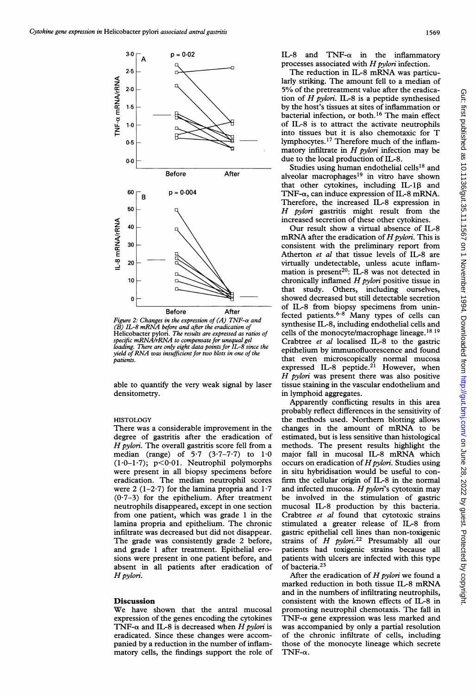

Figure 2: Changes in the expression of (A) TIN (B) IL-8 mRNA before and after the eradicati Helicobacter pylori. The results are expressed as ratios of specific mRNA/rRNA to compensate for unequal gel loading. There are only eight data points for IL-8 since the yield of RNA was insufficient for two blots in one of the patients.

able to quantify the very weak signal by laser densitometry.

# **HISTOLOGY**

There was a considerable improvement in the degree of gastritis after the eradication of  $H$  pylori. The overall gastritis score fell from a median (range) of  $5.7$   $(3.7-7.7)$  to  $1.0$  $(1.0-1.7)$ ; p<0.01. Neutrophil polymorphs were present in all biopsy specimens before eradication. The median neutrop were 2  $(1-2.7)$  for the lamina propria and  $1.7$  $(0.7-3)$  for the epithelium. After treatment neutrophils disappeared, except in o from one patient, which was grade 1 in the lamina propria and epithelium. The chronic infiltrate was decreased but did not disappear. The grade was consistently grade 2 before, and grade 1 after treatment. Epithelial erosions were present in one patient before, and absent in all patients after eradication of Hpylori.

## Discussion

We have shown that the antral mucosal expression of the genes encoding the TNF- $\alpha$  and IL-8 is decreased when H pylori is eradicated. Since these changes we panied by a reduction in the number matory cells, the findings support the role of  $TNF-\alpha$ .

IL-8 and TNF- $\alpha$  in the inflammatory processes associated with  $H$  pylori infection.

The reduction in IL-8 mRNA was particularly striking. The amount fell to a median of 5% of the pretreatment value after the eradication of  $H$  pylori. IL-8 is a peptide synthesised by the host's tissues at sites of inflammation or bacterial infection, or both.'6 The main effect of IL-8 is to attract the activate neutrophils into tissues but it is also chemotaxic for T lymphocytes. <sup>17</sup> Therefore much of the inflammatory infiltrate in  $H$  *pylori* infection may be due to the local production of IL-8.

Studies using human endothelial cells<sup>18</sup> and alveolar macrophages<sup>19</sup> in vitro have shown that other cytokines, including  $IL-1\beta$  and TNF- $\alpha$ , can induce expression of IL-8 mRNA. Therefore, the increased IL-8 expression in  $H$  pylori gastritis might result from the increased secretion of these other cytokines.

Our result show a virtual absence of IL-8 mRNA after the eradication of  $H$  pylori. This is consistent with the preliminary report from Atherton et al that tissue levels of IL-8 are virtually undetectable, unless acute inflammation is present<sup>20</sup>: IL-8 was not detected in chronically inflamed  $H$  *pylori* positive tissue in that study. Others, including ourselves, showed decreased but still detectable secretion of IL-8 from biopsy specimens from uninfected patients. $6-8$  Many types of cells can synthesise IL-8, including endothelial cells and cells of the monocyte/macrophage lineage.<sup>18 19</sup> Crabtree et al localised IL-8 to the gastric epithelium by immunofluorescence and found that even microscopically normal mucosa expressed IL-8 peptide.<sup>21</sup> However, when  $H$  pylori was present there was also positive tissue staining in the vascular endothelium and in lymphoid aggregates.

Apparently conflicting results in this area probably reflect differences in the sensitivity of the methods used. Northern blotting allows changes in the amount of mRNA to be estimated, but is less sensitive than histological methods. The present results highlight the major fall in mucosal IL-8 mRNA which occurs on eradication of  $H$  pylori. Studies using in situ hybridisation would be useful to confirm the cellular origin of IL-8 in the normal and infected mucosa.  $H$  pylori's cytotoxin may be involved in the stimulation of gastric mucosal IL-8 production by this bacteria. Crabtree et al found that cytotoxic strains stimulated a greater release of IL-8 from gastric epithelial cell lines than non-toxigenic strains of  $H$  pylori.<sup>22</sup> Presumably all our patients had toxigenic strains because all patients with ulcers are infected with this type of bacteria.<sup>23</sup>

After the eradication of  $H$  pylori we found a marked reduction in both tissue IL-8 mRNA and in the numbers of infiltrating neutrophils, consistent with the known effects of IL-8 in promoting neutrophil chemotaxis. The fall in TNF- $\alpha$  gene expression was less marked and was accompanied by only a partial resolution of the chronic infiltrate of cells, including those of the monocyte lineage which secrete